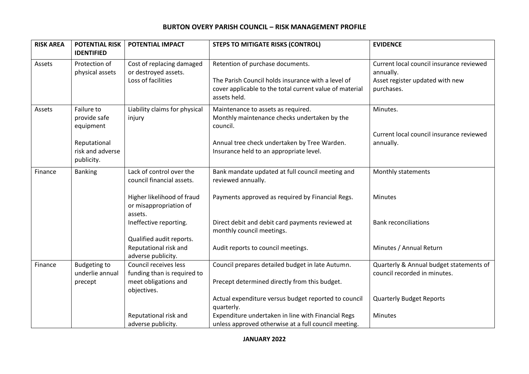| <b>RISK AREA</b> | <b>POTENTIAL RISK</b>                          | POTENTIAL IMPACT                                                        | <b>STEPS TO MITIGATE RISKS (CONTROL)</b>                                                                                      | <b>EVIDENCE</b>                                                         |
|------------------|------------------------------------------------|-------------------------------------------------------------------------|-------------------------------------------------------------------------------------------------------------------------------|-------------------------------------------------------------------------|
|                  | <b>IDENTIFIED</b>                              |                                                                         |                                                                                                                               |                                                                         |
| Assets           | Protection of<br>physical assets               | Cost of replacing damaged<br>or destroyed assets.                       | Retention of purchase documents.                                                                                              | Current local council insurance reviewed<br>annually.                   |
|                  |                                                | Loss of facilities                                                      | The Parish Council holds insurance with a level of<br>cover applicable to the total current value of material<br>assets held. | Asset register updated with new<br>purchases.                           |
| Assets           | Failure to<br>provide safe<br>equipment        | Liability claims for physical<br>injury                                 | Maintenance to assets as required.<br>Monthly maintenance checks undertaken by the<br>council.                                | Minutes.                                                                |
|                  | Reputational<br>risk and adverse<br>publicity. |                                                                         | Annual tree check undertaken by Tree Warden.<br>Insurance held to an appropriate level.                                       | Current local council insurance reviewed<br>annually.                   |
| Finance          | <b>Banking</b>                                 | Lack of control over the<br>council financial assets.                   | Bank mandate updated at full council meeting and<br>reviewed annually.                                                        | Monthly statements                                                      |
|                  |                                                | Higher likelihood of fraud<br>or misappropriation of<br>assets.         | Payments approved as required by Financial Regs.                                                                              | <b>Minutes</b>                                                          |
|                  |                                                | Ineffective reporting.                                                  | Direct debit and debit card payments reviewed at<br>monthly council meetings.                                                 | <b>Bank reconciliations</b>                                             |
|                  |                                                | Qualified audit reports.<br>Reputational risk and<br>adverse publicity. | Audit reports to council meetings.                                                                                            | Minutes / Annual Return                                                 |
| Finance          | <b>Budgeting to</b><br>underlie annual         | Council receives less<br>funding than is required to                    | Council prepares detailed budget in late Autumn.                                                                              | Quarterly & Annual budget statements of<br>council recorded in minutes. |
|                  | precept                                        | meet obligations and<br>objectives.                                     | Precept determined directly from this budget.                                                                                 |                                                                         |
|                  |                                                |                                                                         | Actual expenditure versus budget reported to council<br>quarterly.                                                            | <b>Quarterly Budget Reports</b>                                         |
|                  |                                                | Reputational risk and                                                   | Expenditure undertaken in line with Financial Regs                                                                            | Minutes                                                                 |
|                  |                                                | adverse publicity.                                                      | unless approved otherwise at a full council meeting.                                                                          |                                                                         |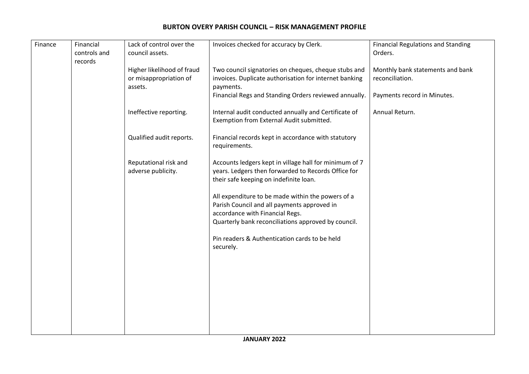| Finance | Financial    | Lack of control over the   | Invoices checked for accuracy by Clerk.                | <b>Financial Regulations and Standing</b> |
|---------|--------------|----------------------------|--------------------------------------------------------|-------------------------------------------|
|         | controls and | council assets.            |                                                        | Orders.                                   |
|         | records      |                            |                                                        |                                           |
|         |              | Higher likelihood of fraud | Two council signatories on cheques, cheque stubs and   | Monthly bank statements and bank          |
|         |              | or misappropriation of     | invoices. Duplicate authorisation for internet banking | reconciliation.                           |
|         |              | assets.                    | payments.                                              |                                           |
|         |              |                            | Financial Regs and Standing Orders reviewed annually.  | Payments record in Minutes.               |
|         |              | Ineffective reporting.     | Internal audit conducted annually and Certificate of   | Annual Return.                            |
|         |              |                            | Exemption from External Audit submitted.               |                                           |
|         |              | Qualified audit reports.   | Financial records kept in accordance with statutory    |                                           |
|         |              |                            | requirements.                                          |                                           |
|         |              | Reputational risk and      | Accounts ledgers kept in village hall for minimum of 7 |                                           |
|         |              | adverse publicity.         | years. Ledgers then forwarded to Records Office for    |                                           |
|         |              |                            | their safe keeping on indefinite loan.                 |                                           |
|         |              |                            | All expenditure to be made within the powers of a      |                                           |
|         |              |                            | Parish Council and all payments approved in            |                                           |
|         |              |                            | accordance with Financial Regs.                        |                                           |
|         |              |                            | Quarterly bank reconciliations approved by council.    |                                           |
|         |              |                            | Pin readers & Authentication cards to be held          |                                           |
|         |              |                            | securely.                                              |                                           |
|         |              |                            |                                                        |                                           |
|         |              |                            |                                                        |                                           |
|         |              |                            |                                                        |                                           |
|         |              |                            |                                                        |                                           |
|         |              |                            |                                                        |                                           |
|         |              |                            |                                                        |                                           |
|         |              |                            |                                                        |                                           |
|         |              |                            |                                                        |                                           |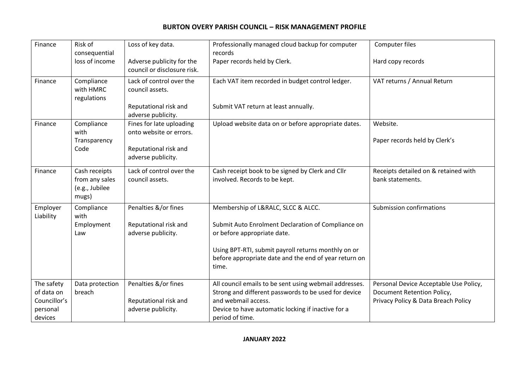| Finance                             | Risk of<br>consequential                                   | Loss of key data.                                        | Professionally managed cloud backup for computer<br>records                                                           | Computer files                                                       |
|-------------------------------------|------------------------------------------------------------|----------------------------------------------------------|-----------------------------------------------------------------------------------------------------------------------|----------------------------------------------------------------------|
|                                     | loss of income                                             | Adverse publicity for the<br>council or disclosure risk. | Paper records held by Clerk.                                                                                          | Hard copy records                                                    |
| Finance                             | Compliance<br>with HMRC<br>regulations                     | Lack of control over the<br>council assets.              | Each VAT item recorded in budget control ledger.                                                                      | VAT returns / Annual Return                                          |
|                                     |                                                            | Reputational risk and<br>adverse publicity.              | Submit VAT return at least annually.                                                                                  |                                                                      |
| Finance                             | Compliance<br>with                                         | Fines for late uploading<br>onto website or errors.      | Upload website data on or before appropriate dates.                                                                   | Website.                                                             |
|                                     | Transparency<br>Code                                       | Reputational risk and<br>adverse publicity.              |                                                                                                                       | Paper records held by Clerk's                                        |
| Finance                             | Cash receipts<br>from any sales<br>(e.g., Jubilee<br>mugs) | Lack of control over the<br>council assets.              | Cash receipt book to be signed by Clerk and Cllr<br>involved. Records to be kept.                                     | Receipts detailed on & retained with<br>bank statements.             |
| Employer<br>Liability               | Compliance<br>with                                         | Penalties &/or fines                                     | Membership of L&RALC, SLCC & ALCC.                                                                                    | Submission confirmations                                             |
|                                     | Employment<br>Law                                          | Reputational risk and<br>adverse publicity.              | Submit Auto Enrolment Declaration of Compliance on<br>or before appropriate date.                                     |                                                                      |
|                                     |                                                            |                                                          | Using BPT-RTI, submit payroll returns monthly on or<br>before appropriate date and the end of year return on<br>time. |                                                                      |
| The safety<br>of data on            | Data protection<br>breach                                  | Penalties &/or fines                                     | All council emails to be sent using webmail addresses.<br>Strong and different passwords to be used for device        | Personal Device Acceptable Use Policy,<br>Document Retention Policy, |
| Councillor's<br>personal<br>devices |                                                            | Reputational risk and<br>adverse publicity.              | and webmail access.<br>Device to have automatic locking if inactive for a<br>period of time.                          | Privacy Policy & Data Breach Policy                                  |